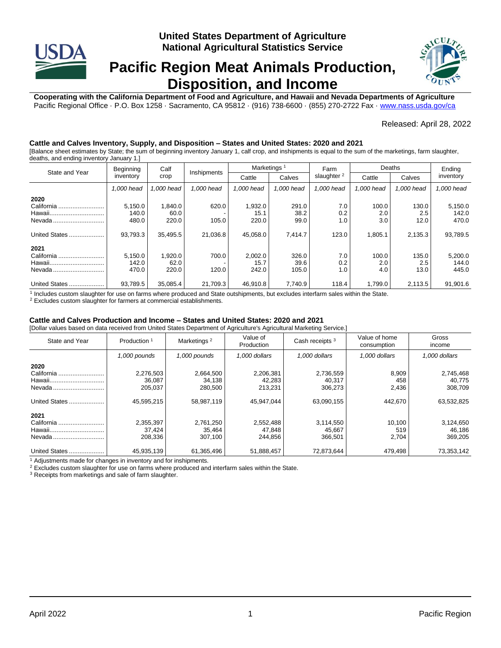

# **Pacific Region Meat Animals Production, Disposition, and Income**



**Cooperating with the California Department of Food and Agriculture, and Hawaii and Nevada Departments of Agriculture** Pacific Regional Office · P.O. Box 1258 · Sacramento, CA 95812 · (916) 738-6600 · (855) 270-2722 Fax [· www.nass.usda.gov/ca](http://www.nass.usda.gov/ca)

### Released: April 28, 2022

# **Cattle and Calves Inventory, Supply, and Disposition – States and United States: 2020 and 2021**

[Balance sheet estimates by State; the sum of beginning inventory January 1, calf crop, and inshipments is equal to the sum of the marketings, farm slaughter, deaths, and ending inventory January 1.]

|                 | Beginning  | Calf       | Inshipments | Marketings |            | Farm                   | Deaths     |            | Ending     |
|-----------------|------------|------------|-------------|------------|------------|------------------------|------------|------------|------------|
| State and Year  | inventory  | crop       |             | Cattle     | Calves     | slaughter <sup>2</sup> | Cattle     | Calves     | inventory  |
|                 | 1.000 head | 1.000 head | 1.000 head  | 1.000 head | 1.000 head | 1.000 head             | 1.000 head | 1.000 head | 1.000 head |
| 2020            |            |            |             |            |            |                        |            |            |            |
| California.<br> | 5,150.0    | 1.840.0    | 620.0       | 1,932.0    | 291.0      | 7.0                    | 100.0      | 130.0      | 5,150.0    |
| Hawaii          | 140.0      | 60.0       |             | 15.1       | 38.2       | 0.2                    | 2.0        | 2.5        | 142.0      |
| Nevada.         | 480.0      | 220.0      | 105.0       | 220.0      | 99.0       | 1.0                    | 3.0        | 12.0       | 470.0      |
| United States   | 93,793.3   | 35.495.5   | 21.036.8    | 45.058.0   | 7.414.7    | 123.0                  | 1,805.1    | 2,135.3    | 93,789.5   |
| 2021            |            |            |             |            |            |                        |            |            |            |
| California      | 5,150.0    | 1,920.0    | 700.0       | 2,002.0    | 326.0      | 7.0                    | 100.0      | 135.0      | 5,200.0    |
| Hawaii          | 142.0      | 62.0       |             | 15.7       | 39.6       | 0.2                    | 2.0        | 2.5        | 144.0      |
| Nevada          | 470.0      | 220.0      | 120.0       | 242.0      | 105.0      | 1.0                    | 4.0        | 13.0       | 445.0      |
| United States   | 93,789.5   | 35.085.4   | 21,709.3    | 46.910.8   | 7,740.9    | 118.4                  | 1,799.0    | 2.113.5    | 91.901.6   |

<sup>1</sup> Includes custom slaughter for use on farms where produced and State outshipments, but excludes interfarm sales within the State.

<sup>2</sup> Excludes custom slaughter for farmers at commercial establishments.

#### **Cattle and Calves Production and Income – States and United States: 2020 and 2021**

[Dollar values based on data received from United States Department of Agriculture's Agricultural Marketing Service.]

| State and Year | Marketings <sup>2</sup><br>Production <sup>1</sup> |              | Value of<br>Production | Cash receipts <sup>3</sup> |               | Gross<br>income |  |
|----------------|----------------------------------------------------|--------------|------------------------|----------------------------|---------------|-----------------|--|
|                | 1,000 pounds                                       | 1,000 pounds | 1.000 dollars          | 1.000 dollars              | 1.000 dollars | 1.000 dollars   |  |
| 2020           |                                                    |              |                        |                            |               |                 |  |
| California     | 2,276,503                                          | 2,664,500    | 2,206,381              | 2,736,559                  | 8,909         | 2,745,468       |  |
| Hawaii         | 36,087                                             | 34,138       | 42,283                 | 40.317                     | 458           | 40.775          |  |
| Nevada         | 205,037                                            | 280,500      | 213,231                | 306,273                    | 2,436         | 308,709         |  |
|                |                                                    |              |                        |                            |               |                 |  |
| United States  | 45,595,215                                         | 58,987,119   | 45.947.044             | 63,090,155                 | 442.670       | 63,532,825      |  |
|                |                                                    |              |                        |                            |               |                 |  |
| 2021           |                                                    |              |                        |                            |               |                 |  |
| California     | 2,355,397                                          | 2,761,250    | 2,552,488              | 3,114,550                  | 10,100        | 3,124,650       |  |
| Hawaii         | 37.424                                             | 35,464       | 47.848                 | 45.667                     | 519           | 46,186          |  |
| Nevada         | 208.336                                            | 307.100      | 244.856                | 366.501                    | 2,704         | 369.205         |  |
|                |                                                    |              |                        |                            |               |                 |  |
| United States  | 45,935,139                                         | 61,365,496   | 51,888,457             | 72.873.644                 | 479.498       | 73,353,142      |  |

<sup>1</sup> Adjustments made for changes in inventory and for inshipments.

<sup>2</sup> Excludes custom slaughter for use on farms where produced and interfarm sales within the State.

<sup>3</sup> Receipts from marketings and sale of farm slaughter.